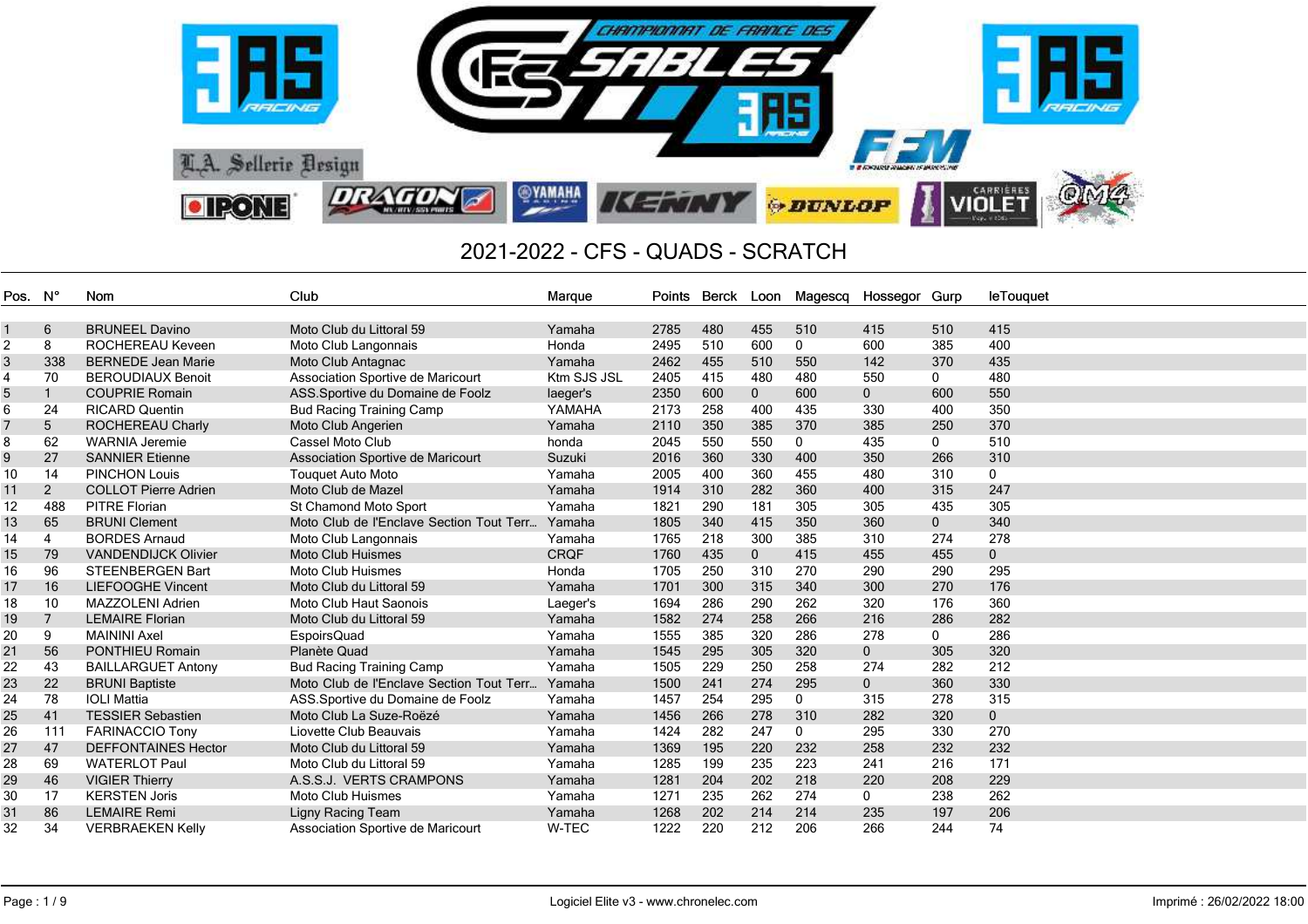

| Pos. N° |                | Nom                         | Club                                     | Marque      |      | Points Berck |              | Loon Magescq Hossegor Gurp |                |              | <b>leTouquet</b> |
|---------|----------------|-----------------------------|------------------------------------------|-------------|------|--------------|--------------|----------------------------|----------------|--------------|------------------|
|         |                |                             |                                          |             |      |              |              |                            |                |              |                  |
|         | 6              | <b>BRUNEEL Davino</b>       | Moto Club du Littoral 59                 | Yamaha      | 2785 | 480          | 455          | 510                        | 415            | 510          | 415              |
| 2       | 8              | <b>ROCHEREAU Keveen</b>     | Moto Club Langonnais                     | Honda       | 2495 | 510          | 600          | $\mathbf{0}$               | 600            | 385          | 400              |
| 3       | 338            | <b>BERNEDE Jean Marie</b>   | Moto Club Antagnac                       | Yamaha      | 2462 | 455          | 510          | 550                        | 142            | 370          | 435              |
| 4       | 70             | <b>BEROUDIAUX Benoit</b>    | Association Sportive de Maricourt        | Ktm SJS JSL | 2405 | 415          | 480          | 480                        | 550            | $\Omega$     | 480              |
| 5       |                | <b>COUPRIE Romain</b>       | ASS.Sportive du Domaine de Foolz         | laeger's    | 2350 | 600          | $\mathbf{0}$ | 600                        | $\overline{0}$ | 600          | 550              |
| 6       | 24             | <b>RICARD Quentin</b>       | <b>Bud Racing Training Camp</b>          | YAMAHA      | 2173 | 258          | 400          | 435                        | 330            | 400          | 350              |
|         | 5              | <b>ROCHEREAU Charly</b>     | Moto Club Angerien                       | Yamaha      | 2110 | 350          | 385          | 370                        | 385            | 250          | 370              |
| 8       | 62             | <b>WARNIA Jeremie</b>       | Cassel Moto Club                         | honda       | 2045 | 550          | 550          | 0                          | 435            | 0            | 510              |
| 9       | 27             | <b>SANNIER Etienne</b>      | Association Sportive de Maricourt        | Suzuki      | 2016 | 360          | 330          | 400                        | 350            | 266          | 310              |
| 10      | 14             | <b>PINCHON Louis</b>        | <b>Touquet Auto Moto</b>                 | Yamaha      | 2005 | 400          | 360          | 455                        | 480            | 310          | $\mathbf 0$      |
| 11      | 2              | <b>COLLOT Pierre Adrien</b> | Moto Club de Mazel                       | Yamaha      | 1914 | 310          | 282          | 360                        | 400            | 315          | 247              |
| 12      | 488            | <b>PITRE Florian</b>        | St Chamond Moto Sport                    | Yamaha      | 1821 | 290          | 181          | 305                        | 305            | 435          | 305              |
| 13      | 65             | <b>BRUNI Clement</b>        | Moto Club de l'Enclave Section Tout Terr | Yamaha      | 1805 | 340          | 415          | 350                        | 360            | $\mathbf{0}$ | 340              |
| 14      | $\overline{4}$ | <b>BORDES Arnaud</b>        | Moto Club Langonnais                     | Yamaha      | 1765 | 218          | 300          | 385                        | 310            | 274          | 278              |
| 15      | 79             | <b>VANDENDIJCK Olivier</b>  | <b>Moto Club Huismes</b>                 | <b>CRQF</b> | 1760 | 435          | $\mathbf{0}$ | 415                        | 455            | 455          | $\mathbf 0$      |
| 16      | 96             | <b>STEENBERGEN Bart</b>     | <b>Moto Club Huismes</b>                 | Honda       | 1705 | 250          | 310          | 270                        | 290            | 290          | 295              |
| 17      | 16             | <b>LIEFOOGHE Vincent</b>    | Moto Club du Littoral 59                 | Yamaha      | 1701 | 300          | 315          | 340                        | 300            | 270          | 176              |
| 18      | 10             | MAZZOLENI Adrien            | Moto Club Haut Saonois                   | Laeger's    | 1694 | 286          | 290          | 262                        | 320            | 176          | 360              |
| 19      |                | <b>LEMAIRE Florian</b>      | Moto Club du Littoral 59                 | Yamaha      | 1582 | 274          | 258          | 266                        | 216            | 286          | 282              |
| 20      | 9              | <b>MAININI Axel</b>         | EspoirsQuad                              | Yamaha      | 1555 | 385          | 320          | 286                        | 278            | 0            | 286              |
| 21      | 56             | <b>PONTHIEU Romain</b>      | Planète Quad                             | Yamaha      | 1545 | 295          | 305          | 320                        | $\mathbf 0$    | 305          | 320              |
| 22      | 43             | <b>BAILLARGUET Antony</b>   | <b>Bud Racing Training Camp</b>          | Yamaha      | 1505 | 229          | 250          | 258                        | 274            | 282          | 212              |
| 23      | 22             | <b>BRUNI Baptiste</b>       | Moto Club de l'Enclave Section Tout Terr | Yamaha      | 1500 | 241          | 274          | 295                        | $\overline{0}$ | 360          | 330              |
| 24      | 78             | <b>IOLI Mattia</b>          | ASS.Sportive du Domaine de Foolz         | Yamaha      | 1457 | 254          | 295          | 0                          | 315            | 278          | 315              |
| 25      | 41             | <b>TESSIER Sebastien</b>    | Moto Club La Suze-Roëzé                  | Yamaha      | 1456 | 266          | 278          | 310                        | 282            | 320          | $\mathbf{0}$     |
| 26      | 111            | <b>FARINACCIO Tony</b>      | Liovette Club Beauvais                   | Yamaha      | 1424 | 282          | 247          | $\mathbf{0}$               | 295            | 330          | 270              |
| 27      | 47             | <b>DEFFONTAINES Hector</b>  | Moto Club du Littoral 59                 | Yamaha      | 1369 | 195          | 220          | 232                        | 258            | 232          | 232              |
| 28      | 69             | <b>WATERLOT Paul</b>        | Moto Club du Littoral 59                 | Yamaha      | 1285 | 199          | 235          | 223                        | 241            | 216          | 171              |
| 29      | 46             | <b>VIGIER Thierry</b>       | A.S.S.J. VERTS CRAMPONS                  | Yamaha      | 1281 | 204          | 202          | 218                        | 220            | 208          | 229              |
| 30      | 17             | <b>KERSTEN Joris</b>        | Moto Club Huismes                        | Yamaha      | 1271 | 235          | 262          | 274                        | $\Omega$       | 238          | 262              |
| 31      | 86             | <b>LEMAIRE Remi</b>         | Ligny Racing Team                        | Yamaha      | 1268 | 202          | 214          | 214                        | 235            | 197          | 206              |
| 32      | 34             | <b>VERBRAEKEN Kelly</b>     | Association Sportive de Maricourt        | W-TEC       | 1222 | 220          | 212          | 206                        | 266            | 244          | 74               |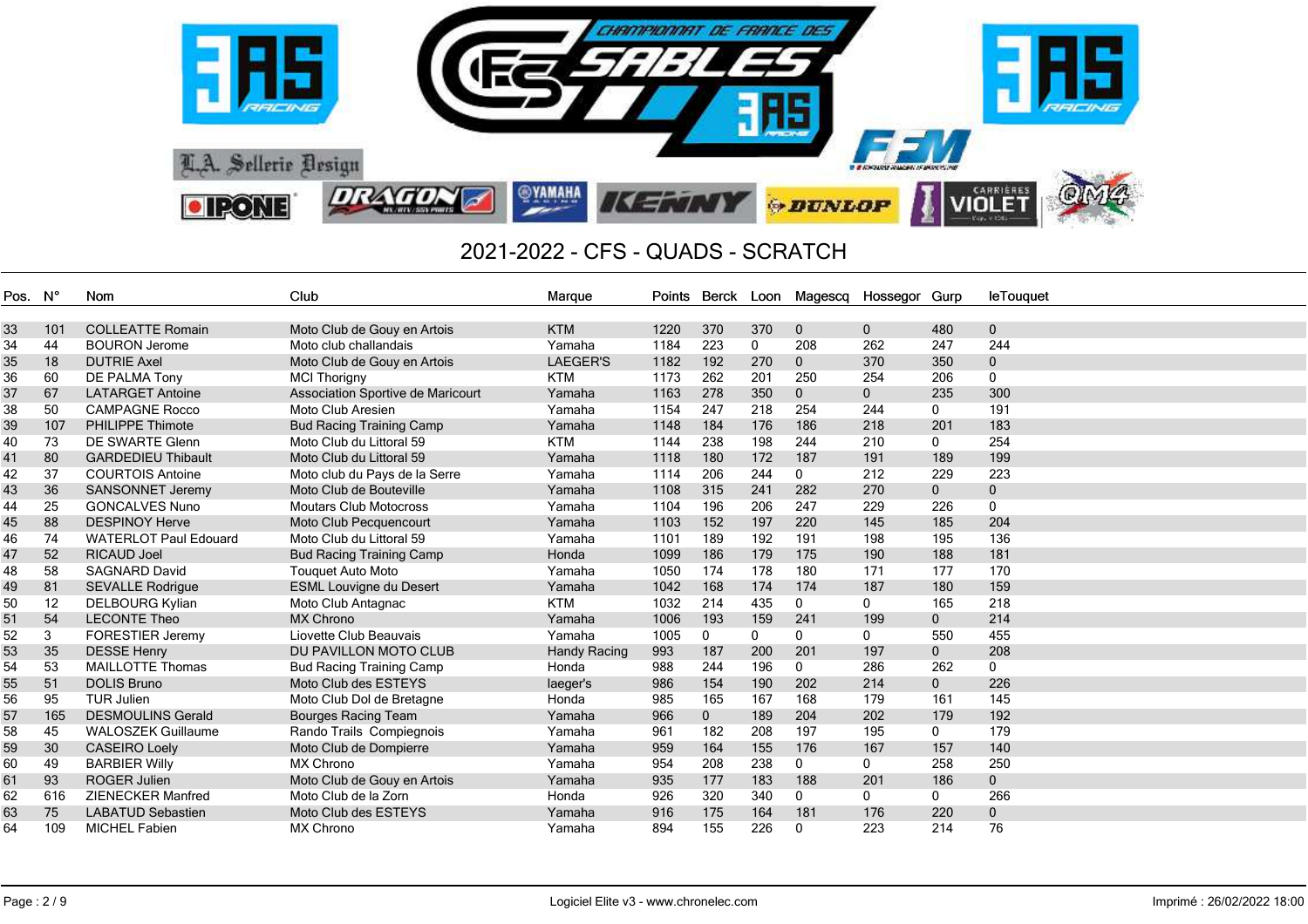

| Pos. N° |     | Nom                          | Club                              | Marque       |      |              |              |              | Points Berck Loon Magescq Hossegor Gurp |                | leTouquet   |
|---------|-----|------------------------------|-----------------------------------|--------------|------|--------------|--------------|--------------|-----------------------------------------|----------------|-------------|
|         |     |                              |                                   |              |      |              |              |              |                                         |                |             |
| 33      | 101 | <b>COLLEATTE Romain</b>      | Moto Club de Gouy en Artois       | <b>KTM</b>   | 1220 | 370          | 370          | $\mathbf 0$  | $\mathbf{0}$                            | 480            | $\mathbf 0$ |
| 34      | 44  | <b>BOURON Jerome</b>         | Moto club challandais             | Yamaha       | 1184 | 223          | $\mathbf{0}$ | 208          | 262                                     | 247            | 244         |
| 35      | 18  | <b>DUTRIE Axel</b>           | Moto Club de Gouy en Artois       | LAEGER'S     | 1182 | 192          | 270          | $\mathbf 0$  | 370                                     | 350            | $\mathbf 0$ |
| 36      | 60  | <b>DE PALMA Tony</b>         | <b>MCI Thorigny</b>               | <b>KTM</b>   | 1173 | 262          | 201          | 250          | 254                                     | 206            | $\mathbf 0$ |
| 37      | 67  | <b>LATARGET Antoine</b>      | Association Sportive de Maricourt | Yamaha       | 1163 | 278          | 350          | $\mathbf{0}$ | $\overline{0}$                          | 235            | 300         |
| 38      | 50  | <b>CAMPAGNE Rocco</b>        | Moto Club Aresien                 | Yamaha       | 1154 | 247          | 218          | 254          | 244                                     | $\mathbf{0}$   | 191         |
| 39      | 107 | <b>PHILIPPE Thimote</b>      | <b>Bud Racing Training Camp</b>   | Yamaha       | 1148 | 184          | 176          | 186          | 218                                     | 201            | 183         |
| 40      | 73  | <b>DE SWARTE Glenn</b>       | Moto Club du Littoral 59          | <b>KTM</b>   | 1144 | 238          | 198          | 244          | 210                                     | $\mathbf{0}$   | 254         |
| 41      | 80  | <b>GARDEDIEU Thibault</b>    | Moto Club du Littoral 59          | Yamaha       | 1118 | 180          | 172          | 187          | 191                                     | 189            | 199         |
| 42      | 37  | <b>COURTOIS Antoine</b>      | Moto club du Pays de la Serre     | Yamaha       | 1114 | 206          | 244          | $\mathbf 0$  | 212                                     | 229            | 223         |
| 43      | 36  | <b>SANSONNET Jeremy</b>      | Moto Club de Bouteville           | Yamaha       | 1108 | 315          | 241          | 282          | 270                                     | $\overline{0}$ | $\mathbf 0$ |
| 44      | 25  | <b>GONCALVES Nuno</b>        | <b>Moutars Club Motocross</b>     | Yamaha       | 1104 | 196          | 206          | 247          | 229                                     | 226            | $\mathbf 0$ |
| 45      | 88  | <b>DESPINOY Herve</b>        | Moto Club Pecquencourt            | Yamaha       | 1103 | 152          | 197          | 220          | 145                                     | 185            | 204         |
| 46      | 74  | <b>WATERLOT Paul Edouard</b> | Moto Club du Littoral 59          | Yamaha       | 1101 | 189          | 192          | 191          | 198                                     | 195            | 136         |
| 47      | 52  | <b>RICAUD Joel</b>           | <b>Bud Racing Training Camp</b>   | Honda        | 1099 | 186          | 179          | 175          | 190                                     | 188            | 181         |
| 48      | 58  | <b>SAGNARD David</b>         | <b>Touquet Auto Moto</b>          | Yamaha       | 1050 | 174          | 178          | 180          | 171                                     | 177            | 170         |
| 49      | 81  | <b>SEVALLE Rodrigue</b>      | <b>ESML Louvigne du Desert</b>    | Yamaha       | 1042 | 168          | 174          | 174          | 187                                     | 180            | 159         |
| 50      | 12  | <b>DELBOURG Kylian</b>       | Moto Club Antagnac                | <b>KTM</b>   | 1032 | 214          | 435          | $\mathbf{0}$ | 0                                       | 165            | 218         |
| 51      | 54  | <b>LECONTE Theo</b>          | <b>MX Chrono</b>                  | Yamaha       | 1006 | 193          | 159          | 241          | 199                                     | $\mathbf{0}$   | 214         |
| 52      | 3   | <b>FORESTIER Jeremy</b>      | Liovette Club Beauvais            | Yamaha       | 1005 | 0            | 0            | $\mathbf 0$  | 0                                       | 550            | 455         |
| 53      | 35  | <b>DESSE Henry</b>           | DU PAVILLON MOTO CLUB             | Handy Racing | 993  | 187          | 200          | 201          | 197                                     | $\mathbf{0}$   | 208         |
| 54      | 53  | <b>MAILLOTTE Thomas</b>      | <b>Bud Racing Training Camp</b>   | Honda        | 988  | 244          | 196          | $\mathbf 0$  | 286                                     | 262            | $\mathbf 0$ |
| 55      | 51  | <b>DOLIS Bruno</b>           | Moto Club des ESTEYS              | laeger's     | 986  | 154          | 190          | 202          | 214                                     | $\mathbf 0$    | 226         |
| 56      | 95  | <b>TUR Julien</b>            | Moto Club Dol de Bretagne         | Honda        | 985  | 165          | 167          | 168          | 179                                     | 161            | 145         |
| 57      | 165 | <b>DESMOULINS Gerald</b>     | <b>Bourges Racing Team</b>        | Yamaha       | 966  | $\mathbf{0}$ | 189          | 204          | 202                                     | 179            | 192         |
| 58      | 45  | <b>WALOSZEK Guillaume</b>    | Rando Trails Compiegnois          | Yamaha       | 961  | 182          | 208          | 197          | 195                                     | $\Omega$       | 179         |
| 59      | 30  | <b>CASEIRO Loely</b>         | Moto Club de Dompierre            | Yamaha       | 959  | 164          | 155          | 176          | 167                                     | 157            | 140         |
| 60      | 49  | <b>BARBIER Willy</b>         | <b>MX Chrono</b>                  | Yamaha       | 954  | 208          | 238          | 0            | $\mathbf 0$                             | 258            | 250         |
| 61      | 93  | <b>ROGER Julien</b>          | Moto Club de Gouy en Artois       | Yamaha       | 935  | 177          | 183          | 188          | 201                                     | 186            | $\mathbf 0$ |
| 62      | 616 | <b>ZIENECKER Manfred</b>     | Moto Club de la Zorn              | Honda        | 926  | 320          | 340          | $\mathbf 0$  | $\mathbf{0}$                            | $\mathbf{0}$   | 266         |
| 63      | 75  | <b>LABATUD Sebastien</b>     | Moto Club des ESTEYS              | Yamaha       | 916  | 175          | 164          | 181          | 176                                     | 220            | $\mathbf 0$ |
| 64      | 109 | <b>MICHEL Fabien</b>         | <b>MX Chrono</b>                  | Yamaha       | 894  | 155          | 226          | $\mathbf{0}$ | 223                                     | 214            | 76          |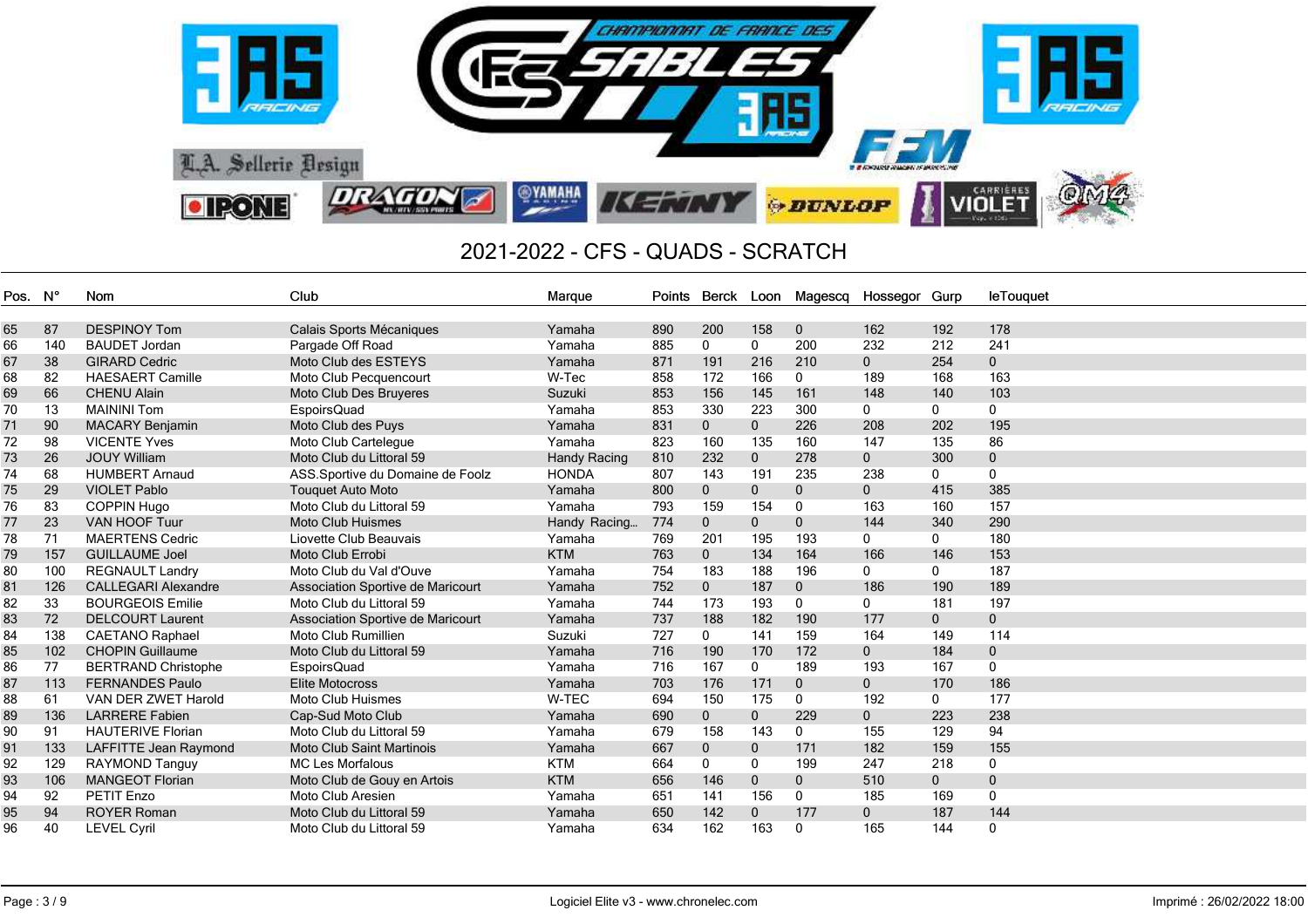

| Pos. N° |     | Nom                        | Club                              | Marque              | Points | Berck          | Loon           | Magescq Hossegor Gurp |              |              | <b>leTouguet</b> |
|---------|-----|----------------------------|-----------------------------------|---------------------|--------|----------------|----------------|-----------------------|--------------|--------------|------------------|
|         |     |                            |                                   |                     |        |                |                |                       |              |              |                  |
| 65      | 87  | <b>DESPINOY Tom</b>        | Calais Sports Mécaniques          | Yamaha              | 890    | 200            | 158            | $\mathbf 0$           | 162          | 192          | 178              |
| 66      | 140 | <b>BAUDET Jordan</b>       | Pargade Off Road                  | Yamaha              | 885    | $\mathbf 0$    | 0              | 200                   | 232          | 212          | 241              |
| 67      | 38  | <b>GIRARD Cedric</b>       | Moto Club des ESTEYS              | Yamaha              | 871    | 191            | 216            | 210                   | $\mathbf{0}$ | 254          | $\mathbf 0$      |
| 68      | 82  | <b>HAESAERT Camille</b>    | Moto Club Pecquencourt            | W-Tec               | 858    | 172            | 166            | $\Omega$              | 189          | 168          | 163              |
| 69      | 66  | <b>CHENU Alain</b>         | Moto Club Des Bruyeres            | Suzuki              | 853    | 156            | 145            | 161                   | 148          | 140          | 103              |
| 70      | 13  | <b>MAININI Tom</b>         | EspoirsQuad                       | Yamaha              | 853    | 330            | 223            | 300                   | 0            | 0            | 0                |
| 71      | 90  | <b>MACARY Benjamin</b>     | Moto Club des Puys                | Yamaha              | 831    | $\mathbf{0}$   | $\overline{0}$ | 226                   | 208          | 202          | 195              |
| 72      | 98  | <b>VICENTE Yves</b>        | Moto Club Cartelegue              | Yamaha              | 823    | 160            | 135            | 160                   | 147          | 135          | 86               |
| 73      | 26  | <b>JOUY William</b>        | Moto Club du Littoral 59          | <b>Handy Racing</b> | 810    | 232            | $\mathbf 0$    | 278                   | $\mathbf{0}$ | 300          | $\mathbf 0$      |
| 74      | 68  | <b>HUMBERT Arnaud</b>      | ASS.Sportive du Domaine de Foolz  | <b>HONDA</b>        | 807    | 143            | 191            | 235                   | 238          | 0            | $\mathbf 0$      |
| 75      | 29  | <b>VIOLET Pablo</b>        | <b>Touquet Auto Moto</b>          | Yamaha              | 800    | $\mathbf 0$    | $\mathbf 0$    | $\mathbf{0}$          | 0            | 415          | 385              |
| 76      | 83  | <b>COPPIN Hugo</b>         | Moto Club du Littoral 59          | Yamaha              | 793    | 159            | 154            | $\mathbf 0$           | 163          | 160          | 157              |
| 77      | 23  | <b>VAN HOOF Tuur</b>       | <b>Moto Club Huismes</b>          | Handy Racing        | 774    | $\mathbf{0}$   | $\mathbf{0}$   | $\mathbf{0}$          | 144          | 340          | 290              |
| 78      | 71  | <b>MAERTENS Cedric</b>     | Liovette Club Beauvais            | Yamaha              | 769    | 201            | 195            | 193                   | 0            | 0            | 180              |
| 79      | 157 | <b>GUILLAUME Joel</b>      | Moto Club Errobi                  | <b>KTM</b>          | 763    | $\mathbf 0$    | 134            | 164                   | 166          | 146          | 153              |
| 80      | 100 | <b>REGNAULT Landry</b>     | Moto Club du Val d'Ouve           | Yamaha              | 754    | 183            | 188            | 196                   | $\mathbf{0}$ | $\mathbf{0}$ | 187              |
| 81      | 126 | <b>CALLEGARI Alexandre</b> | Association Sportive de Maricourt | Yamaha              | 752    | $\overline{0}$ | 187            | $\mathbf{0}$          | 186          | 190          | 189              |
| 82      | 33  | <b>BOURGEOIS Emilie</b>    | Moto Club du Littoral 59          | Yamaha              | 744    | 173            | 193            | 0                     | 0            | 181          | 197              |
| 83      | 72  | <b>DELCOURT Laurent</b>    | Association Sportive de Maricourt | Yamaha              | 737    | 188            | 182            | 190                   | 177          | $\mathbf{0}$ | $\overline{0}$   |
| 84      | 138 | <b>CAETANO Raphael</b>     | Moto Club Rumillien               | Suzuki              | 727    | $\mathbf{0}$   | 141            | 159                   | 164          | 149          | 114              |
| 85      | 102 | <b>CHOPIN Guillaume</b>    | Moto Club du Littoral 59          | Yamaha              | 716    | 190            | 170            | 172                   | $\mathbf{0}$ | 184          | $\mathbf 0$      |
| 86      | 77  | <b>BERTRAND Christophe</b> | <b>EspoirsQuad</b>                | Yamaha              | 716    | 167            | 0              | 189                   | 193          | 167          | $\mathbf 0$      |
| 87      | 113 | <b>FERNANDES Paulo</b>     | <b>Elite Motocross</b>            | Yamaha              | 703    | 176            | 171            | $\mathbf 0$           | 0            | 170          | 186              |
| 88      | 61  | VAN DER ZWET Harold        | Moto Club Huismes                 | W-TEC               | 694    | 150            | 175            | 0                     | 192          | 0            | 177              |
| 89      | 136 | <b>LARRERE Fabien</b>      | Cap-Sud Moto Club                 | Yamaha              | 690    | $\mathbf{0}$   | $\mathbf{0}$   | 229                   | 0            | 223          | 238              |
| 90      | 91  | <b>HAUTERIVE Florian</b>   | Moto Club du Littoral 59          | Yamaha              | 679    | 158            | 143            | 0                     | 155          | 129          | 94               |
| 91      | 133 | LAFFITTE Jean Raymond      | <b>Moto Club Saint Martinois</b>  | Yamaha              | 667    | $\mathbf 0$    | $\mathbf 0$    | 171                   | 182          | 159          | 155              |
| 92      | 129 | RAYMOND Tanguy             | <b>MC Les Morfalous</b>           | <b>KTM</b>          | 664    | $\mathbf{0}$   | 0              | 199                   | 247          | 218          | 0                |
| 93      | 106 | <b>MANGEOT Florian</b>     | Moto Club de Gouy en Artois       | <b>KTM</b>          | 656    | 146            | $\mathbf{0}$   | $\mathbf{0}$          | 510          | $\mathbf{0}$ | $\mathbf{0}$     |
| 94      | 92  | PETIT Enzo                 | Moto Club Aresien                 | Yamaha              | 651    | 141            | 156            | 0                     | 185          | 169          | $\mathbf 0$      |
| 95      | 94  | <b>ROYER Roman</b>         | Moto Club du Littoral 59          | Yamaha              | 650    | 142            | $\mathbf{0}$   | 177                   | 0            | 187          | 144              |
| 96      | 40  | <b>LEVEL Cyril</b>         | Moto Club du Littoral 59          | Yamaha              | 634    | 162            | 163            | $\mathbf{0}$          | 165          | 144          | $\mathbf{0}$     |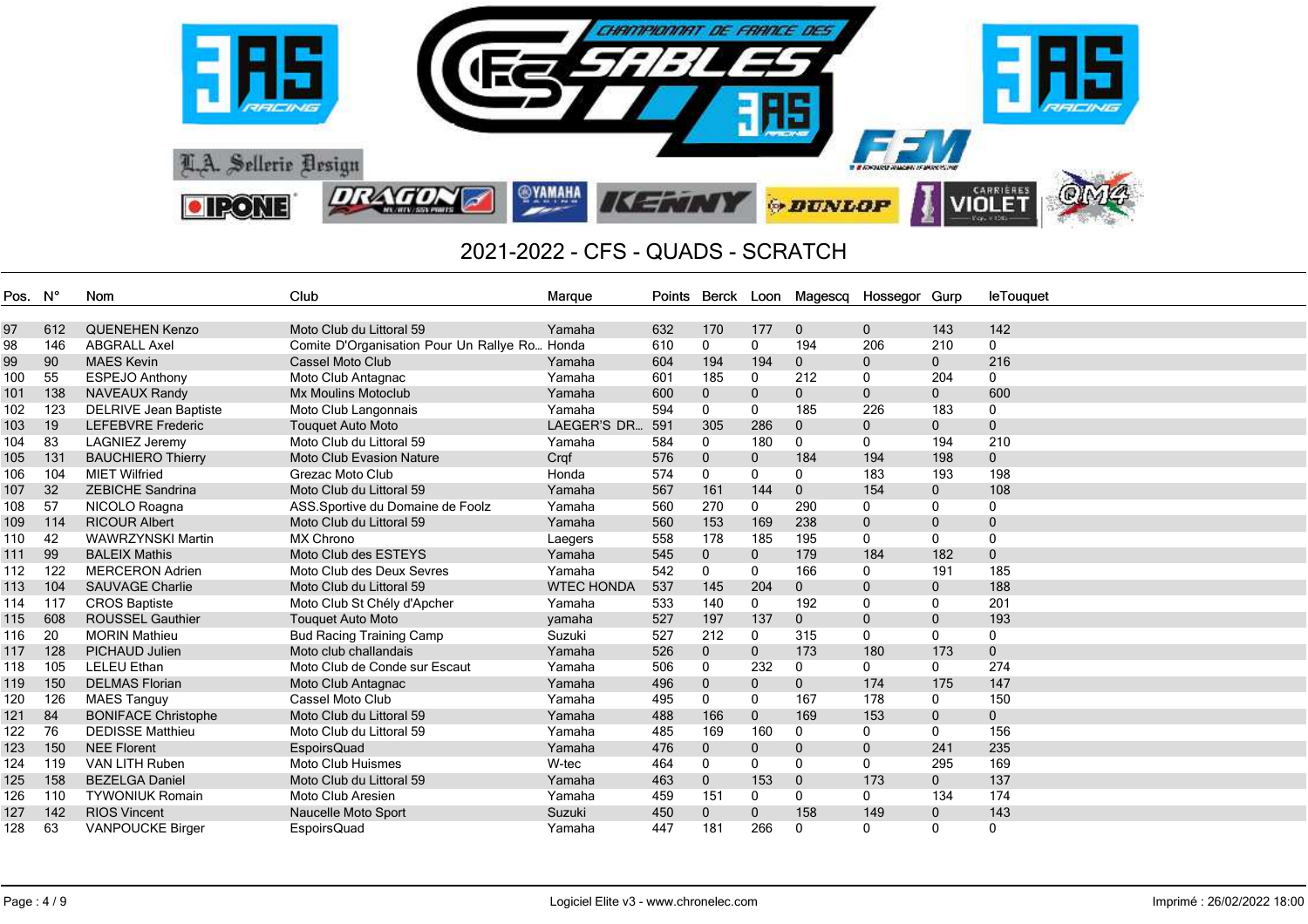

| Pos. | - N° | Nom                          | Club                                          | Marque            |     |              |              | Points Berck Loon Magescq Hossegor Gurp |              |              | <b>leTouguet</b> |
|------|------|------------------------------|-----------------------------------------------|-------------------|-----|--------------|--------------|-----------------------------------------|--------------|--------------|------------------|
|      |      |                              |                                               |                   |     |              |              |                                         |              |              |                  |
| 97   | 612  | <b>QUENEHEN Kenzo</b>        | Moto Club du Littoral 59                      | Yamaha            | 632 | 170          | 177          | $\mathbf 0$                             | $\mathbf{0}$ | 143          | 142              |
| 98   | 146  | <b>ABGRALL Axel</b>          | Comite D'Organisation Pour Un Rallye Ro Honda |                   | 610 | $\mathbf{0}$ | $\mathbf{0}$ | 194                                     | 206          | 210          | $\mathbf{0}$     |
| 99   | 90   | <b>MAES Kevin</b>            | Cassel Moto Club                              | Yamaha            | 604 | 194          | 194          | $\mathbf 0$                             | $\mathbf 0$  | $\mathbf 0$  | 216              |
| 100  | 55   | <b>ESPEJO Anthony</b>        | Moto Club Antagnac                            | Yamaha            | 601 | 185          | 0            | 212                                     | 0            | 204          | $\mathbf 0$      |
| 101  | 138  | <b>NAVEAUX Randy</b>         | <b>Mx Moulins Motoclub</b>                    | Yamaha            | 600 | $\mathbf{0}$ | $\mathbf{0}$ | $\mathbf{0}$                            | $\mathbf{0}$ | $\mathbf{0}$ | 600              |
| 102  | 123  | <b>DELRIVE Jean Baptiste</b> | Moto Club Langonnais                          | Yamaha            | 594 | 0            | $\mathbf{0}$ | 185                                     | 226          | 183          | 0                |
| 103  | 19   | <b>LEFEBVRE Frederic</b>     | <b>Touquet Auto Moto</b>                      | LAEGER'S DR       | 591 | 305          | 286          | $\mathbf 0$                             | $\mathbf 0$  | $\mathbf{0}$ | $\mathbf 0$      |
| 104  | 83   | <b>LAGNIEZ Jeremy</b>        | Moto Club du Littoral 59                      | Yamaha            | 584 | 0            | 180          | $\mathbf 0$                             | 0            | 194          | 210              |
| 105  | 131  | <b>BAUCHIERO Thierry</b>     | Moto Club Evasion Nature                      | Crqf              | 576 | $\mathbf 0$  | $\mathbf 0$  | 184                                     | 194          | 198          | $\mathbf 0$      |
| 106  | 104  | <b>MIET Wilfried</b>         | Grezac Moto Club                              | Honda             | 574 | 0            | 0            | 0                                       | 183          | 193          | 198              |
| 107  | 32   | <b>ZEBICHE Sandrina</b>      | Moto Club du Littoral 59                      | Yamaha            | 567 | 161          | 144          | $\mathbf 0$                             | 154          | $\mathbf 0$  | 108              |
| 108  | 57   | NICOLO Roagna                | ASS.Sportive du Domaine de Foolz              | Yamaha            | 560 | 270          | $\Omega$     | 290                                     | 0            | $\mathbf{0}$ | $\mathbf{0}$     |
| 109  | 114  | <b>RICOUR Albert</b>         | Moto Club du Littoral 59                      | Yamaha            | 560 | 153          | 169          | 238                                     | $\mathbf 0$  | $\mathbf 0$  | $\mathbf 0$      |
| 110  | 42   | <b>WAWRZYNSKI Martin</b>     | <b>MX Chrono</b>                              | Laegers           | 558 | 178          | 185          | 195                                     | 0            | $\mathbf{0}$ | $\mathbf{0}$     |
| 111  | 99   | <b>BALEIX Mathis</b>         | Moto Club des ESTEYS                          | Yamaha            | 545 | $\mathbf{0}$ | $\mathbf 0$  | 179                                     | 184          | 182          | $\mathbf 0$      |
| 112  | 122  | <b>MERCERON Adrien</b>       | Moto Club des Deux Sevres                     | Yamaha            | 542 | 0            | 0            | 166                                     | 0            | 191          | 185              |
| 113  | 104  | <b>SAUVAGE Charlie</b>       | Moto Club du Littoral 59                      | <b>WTEC HONDA</b> | 537 | 145          | 204          | $\mathbf{0}$                            | $\mathbf{0}$ | $\mathbf{0}$ | 188              |
| 114  | 117  | <b>CROS Baptiste</b>         | Moto Club St Chély d'Apcher                   | Yamaha            | 533 | 140          | $\mathbf{0}$ | 192                                     | 0            | 0            | 201              |
| 115  | 608  | <b>ROUSSEL Gauthier</b>      | <b>Touquet Auto Moto</b>                      | yamaha            | 527 | 197          | 137          | $\mathbf{0}$                            | $\mathbf{0}$ | $\mathbf{0}$ | 193              |
| 116  | 20   | <b>MORIN Mathieu</b>         | <b>Bud Racing Training Camp</b>               | Suzuki            | 527 | 212          | 0            | 315                                     | $\mathbf{0}$ | $\mathbf{0}$ | $\mathbf 0$      |
| 117  | 128  | PICHAUD Julien               | Moto club challandais                         | Yamaha            | 526 | $\mathbf 0$  | $\mathbf 0$  | 173                                     | 180          | 173          | $\mathbf 0$      |
| 118  | 105  | <b>LELEU Ethan</b>           | Moto Club de Conde sur Escaut                 | Yamaha            | 506 | 0            | 232          | 0                                       | 0            | 0            | 274              |
| 119  | 150  | <b>DELMAS Florian</b>        | Moto Club Antagnac                            | Yamaha            | 496 | $\mathbf{0}$ | $\mathbf{0}$ | $\mathbf 0$                             | 174          | 175          | 147              |
| 120  | 126  | <b>MAES Tanguy</b>           | Cassel Moto Club                              | Yamaha            | 495 | 0            | $\Omega$     | 167                                     | 178          | 0            | 150              |
| 121  | 84   | <b>BONIFACE Christophe</b>   | Moto Club du Littoral 59                      | Yamaha            | 488 | 166          | $\mathbf{0}$ | 169                                     | 153          | $\mathbf 0$  | $\mathbf 0$      |
| 122  | 76   | <b>DEDISSE Matthieu</b>      | Moto Club du Littoral 59                      | Yamaha            | 485 | 169          | 160          | $\mathbf 0$                             | 0            | $\mathbf{0}$ | 156              |
| 123  | 150  | <b>NEE Florent</b>           | <b>EspoirsQuad</b>                            | Yamaha            | 476 | $\mathbf{0}$ | $\mathbf{0}$ | $\mathbf{0}$                            | $\mathbf{0}$ | 241          | 235              |
| 124  | 119  | <b>VAN LITH Ruben</b>        | Moto Club Huismes                             | W-tec             | 464 | 0            | $\mathbf{0}$ | 0                                       | 0            | 295          | 169              |
| 125  | 158  | <b>BEZELGA Daniel</b>        | Moto Club du Littoral 59                      | Yamaha            | 463 | $\mathbf{0}$ | 153          | $\mathbf 0$                             | 173          | $\mathbf{0}$ | 137              |
| 126  | 110  | <b>TYWONIUK Romain</b>       | Moto Club Aresien                             | Yamaha            | 459 | 151          | 0            | $\mathbf 0$                             | 0            | 134          | 174              |
| 127  | 142  | <b>RIOS Vincent</b>          | Naucelle Moto Sport                           | Suzuki            | 450 | $\mathbf{0}$ | $\mathbf 0$  | 158                                     | 149          | $\mathbf 0$  | 143              |
| 128  | 63   | <b>VANPOUCKE Birger</b>      | <b>EspoirsQuad</b>                            | Yamaha            | 447 | 181          | 266          | 0                                       | 0            | 0            | $\Omega$         |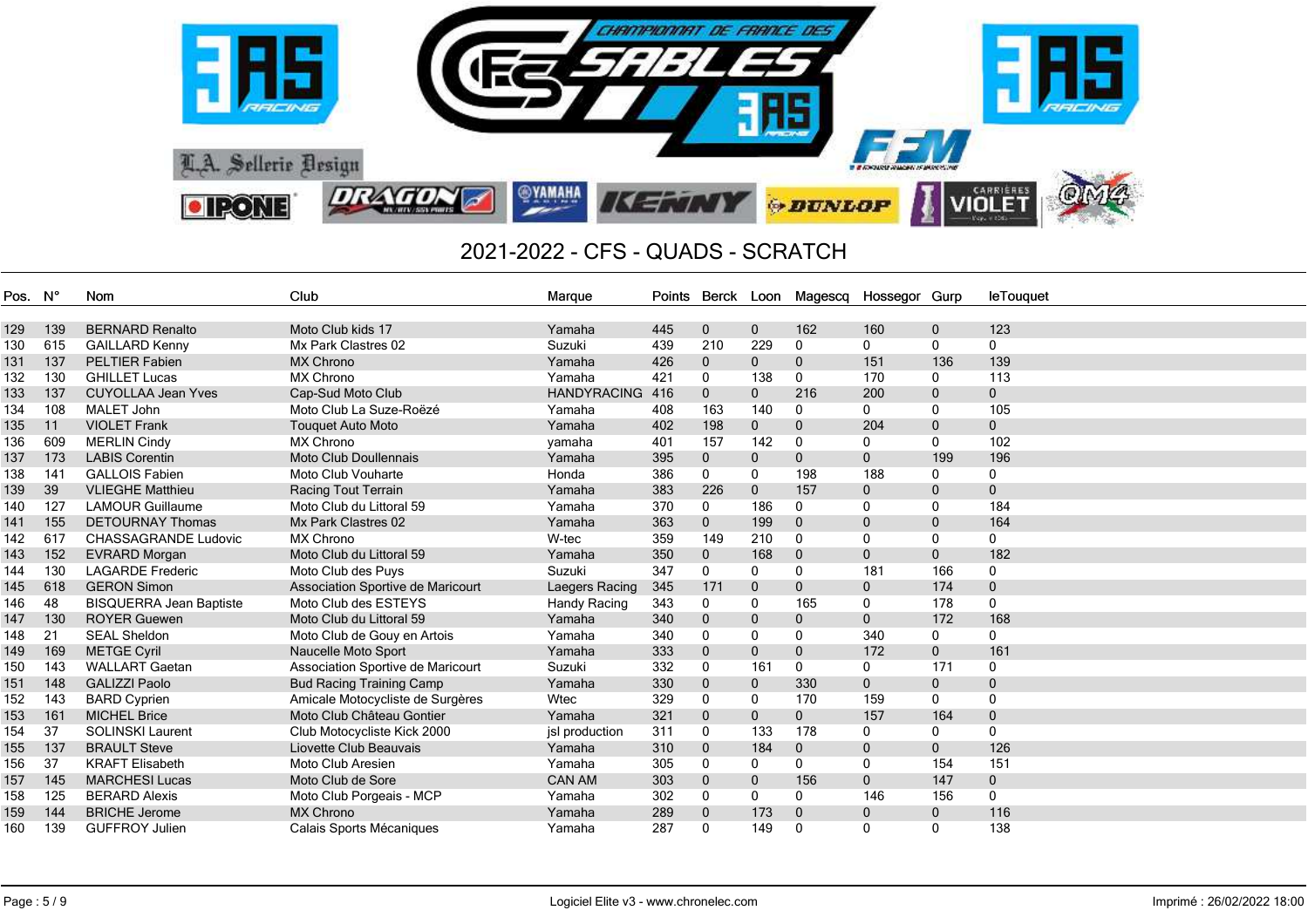

| Pos. N° |     | Nom                            | Club                              | Marque             | Points | Berck        |              | Loon Magescq Hossegor Gurp |                |              | leTouquet    |
|---------|-----|--------------------------------|-----------------------------------|--------------------|--------|--------------|--------------|----------------------------|----------------|--------------|--------------|
|         |     |                                |                                   |                    |        |              |              |                            |                |              |              |
| 129     | 139 | <b>BERNARD Renalto</b>         | Moto Club kids 17                 | Yamaha             | 445    | $\mathbf 0$  | $\mathbf 0$  | 162                        | 160            | $\mathbf{0}$ | 123          |
| 130     | 615 | <b>GAILLARD Kenny</b>          | Mx Park Clastres 02               | Suzuki             | 439    | 210          | 229          | 0                          | 0              | 0            | 0            |
| 131     | 137 | <b>PELTIER Fabien</b>          | <b>MX Chrono</b>                  | Yamaha             | 426    | $\mathbf 0$  | $\mathbf 0$  | $\mathbf 0$                | 151            | 136          | 139          |
| 132     | 130 | <b>GHILLET Lucas</b>           | <b>MX Chrono</b>                  | Yamaha             | 421    | $\mathbf 0$  | 138          | 0                          | 170            | 0            | 113          |
| 133     | 137 | <b>CUYOLLAA Jean Yves</b>      | Cap-Sud Moto Club                 | <b>HANDYRACING</b> | 416    | $\mathbf{0}$ | $\mathbf{0}$ | 216                        | 200            | $\mathbf{0}$ | $\mathbf 0$  |
| 134     | 108 | MALET John                     | Moto Club La Suze-Roëzé           | Yamaha             | 408    | 163          | 140          | $\Omega$                   | 0              | 0            | 105          |
| 135     | 11  | <b>VIOLET Frank</b>            | <b>Touquet Auto Moto</b>          | Yamaha             | 402    | 198          | $\mathbf{0}$ | $\mathbf{0}$               | 204            | $\mathbf{0}$ | $\mathbf{0}$ |
| 136     | 609 | <b>MERLIN Cindy</b>            | <b>MX Chrono</b>                  | yamaha             | 401    | 157          | 142          | $\mathbf{0}$               | 0              | 0            | 102          |
| 137     | 173 | <b>LABIS Corentin</b>          | <b>Moto Club Doullennais</b>      | Yamaha             | 395    | $\mathbf 0$  | $\mathbf 0$  | $\mathbf 0$                | $\mathbf{0}$   | 199          | 196          |
| 138     | 141 | <b>GALLOIS Fabien</b>          | Moto Club Vouharte                | Honda              | 386    | 0            | 0            | 198                        | 188            | 0            | 0            |
| 139     | 39  | <b>VLIEGHE Matthieu</b>        | <b>Racing Tout Terrain</b>        | Yamaha             | 383    | 226          | $\mathbf{0}$ | 157                        | $\mathbf{0}$   | $\mathbf{0}$ | $\mathbf{0}$ |
| 140     | 127 | <b>LAMOUR Guillaume</b>        | Moto Club du Littoral 59          | Yamaha             | 370    | $\mathbf{0}$ | 186          | $\mathbf{0}$               | $\mathbf{0}$   | 0            | 184          |
| 141     | 155 | <b>DETOURNAY Thomas</b>        | Mx Park Clastres 02               | Yamaha             | 363    | $\mathbf{0}$ | 199          | $\mathbf{0}$               | 0              | $\mathbf{0}$ | 164          |
| 142     | 617 | <b>CHASSAGRANDE Ludovic</b>    | <b>MX Chrono</b>                  | W-tec              | 359    | 149          | 210          | $\mathbf{0}$               | 0              | 0            | 0            |
| 143     | 152 | <b>EVRARD Morgan</b>           | Moto Club du Littoral 59          | Yamaha             | 350    | $\mathbf 0$  | 168          | $\mathbf 0$                | $\mathbf{0}$   | $\mathbf{0}$ | 182          |
| 144     | 130 | <b>LAGARDE Frederic</b>        | Moto Club des Puys                | Suzuki             | 347    | 0            | 0            | 0                          | 181            | 166          | 0            |
| 145     | 618 | <b>GERON Simon</b>             | Association Sportive de Maricourt | Laegers Racing     | 345    | 171          | $\mathbf{0}$ | $\mathbf{0}$               | $\mathbf{0}$   | 174          | $\pmb{0}$    |
| 146     | 48  | <b>BISQUERRA Jean Baptiste</b> | Moto Club des ESTEYS              | Handy Racing       | 343    | 0            | 0            | 165                        | 0              | 178          | 0            |
| 147     | 130 | <b>ROYER Guewen</b>            | Moto Club du Littoral 59          | Yamaha             | 340    | $\mathbf 0$  | $\mathbf 0$  | $\mathbf 0$                | $\mathbf{0}$   | 172          | 168          |
| 148     | 21  | <b>SEAL Sheldon</b>            | Moto Club de Gouy en Artois       | Yamaha             | 340    | 0            | 0            | 0                          | 340            | 0            | 0            |
| 149     | 169 | <b>METGE Cyril</b>             | Naucelle Moto Sport               | Yamaha             | 333    | $\mathbf 0$  | $\mathbf 0$  | $\mathbf 0$                | 172            | $\mathbf 0$  | 161          |
| 150     | 143 | <b>WALLART Gaetan</b>          | Association Sportive de Maricourt | Suzuki             | 332    | 0            | 161          | 0                          | 0              | 171          | 0            |
| 151     | 148 | <b>GALIZZI Paolo</b>           | <b>Bud Racing Training Camp</b>   | Yamaha             | 330    | $\mathbf 0$  | $\mathbf 0$  | 330                        | $\overline{0}$ | $\mathbf 0$  | $\mathbf{0}$ |
| 152     | 143 | <b>BARD Cyprien</b>            | Amicale Motocycliste de Surgères  | Wtec               | 329    | 0            | 0            | 170                        | 159            | 0            | $\mathbf{0}$ |
| 153     | 161 | <b>MICHEL Brice</b>            | Moto Club Château Gontier         | Yamaha             | 321    | $\mathbf 0$  | $\mathbf{0}$ | $\mathbf{0}$               | 157            | 164          | $\mathbf{0}$ |
| 154     | 37  | SOLINSKI Laurent               | Club Motocycliste Kick 2000       | jsl production     | 311    | 0            | 133          | 178                        | 0              | 0            | $\mathbf{0}$ |
| 155     | 137 | <b>BRAULT Steve</b>            | Liovette Club Beauvais            | Yamaha             | 310    | $\mathbf 0$  | 184          | $\mathbf 0$                | $\mathbf{0}$   | $\mathbf{0}$ | 126          |
| 156     | 37  | <b>KRAFT Elisabeth</b>         | Moto Club Aresien                 | Yamaha             | 305    | $\mathbf 0$  | 0            | $\mathbf{0}$               | 0              | 154          | 151          |
| 157     | 145 | <b>MARCHESI Lucas</b>          | Moto Club de Sore                 | <b>CAN AM</b>      | 303    | $\mathbf{0}$ | $\mathbf{0}$ | 156                        | $\overline{0}$ | 147          | $\mathbf{0}$ |
| 158     | 125 | <b>BERARD Alexis</b>           | Moto Club Porgeais - MCP          | Yamaha             | 302    | 0            | $\mathbf{0}$ | $\mathbf{0}$               | 146            | 156          | $\mathbf{0}$ |
| 159     | 144 | <b>BRICHE Jerome</b>           | <b>MX Chrono</b>                  | Yamaha             | 289    | $\mathbf 0$  | 173          | $\mathbf{0}$               | $\mathbf 0$    | $\mathbf{0}$ | 116          |
| 160     | 139 | <b>GUFFROY Julien</b>          | Calais Sports Mécaniques          | Yamaha             | 287    | 0            | 149          | $\Omega$                   | 0              | 0            | 138          |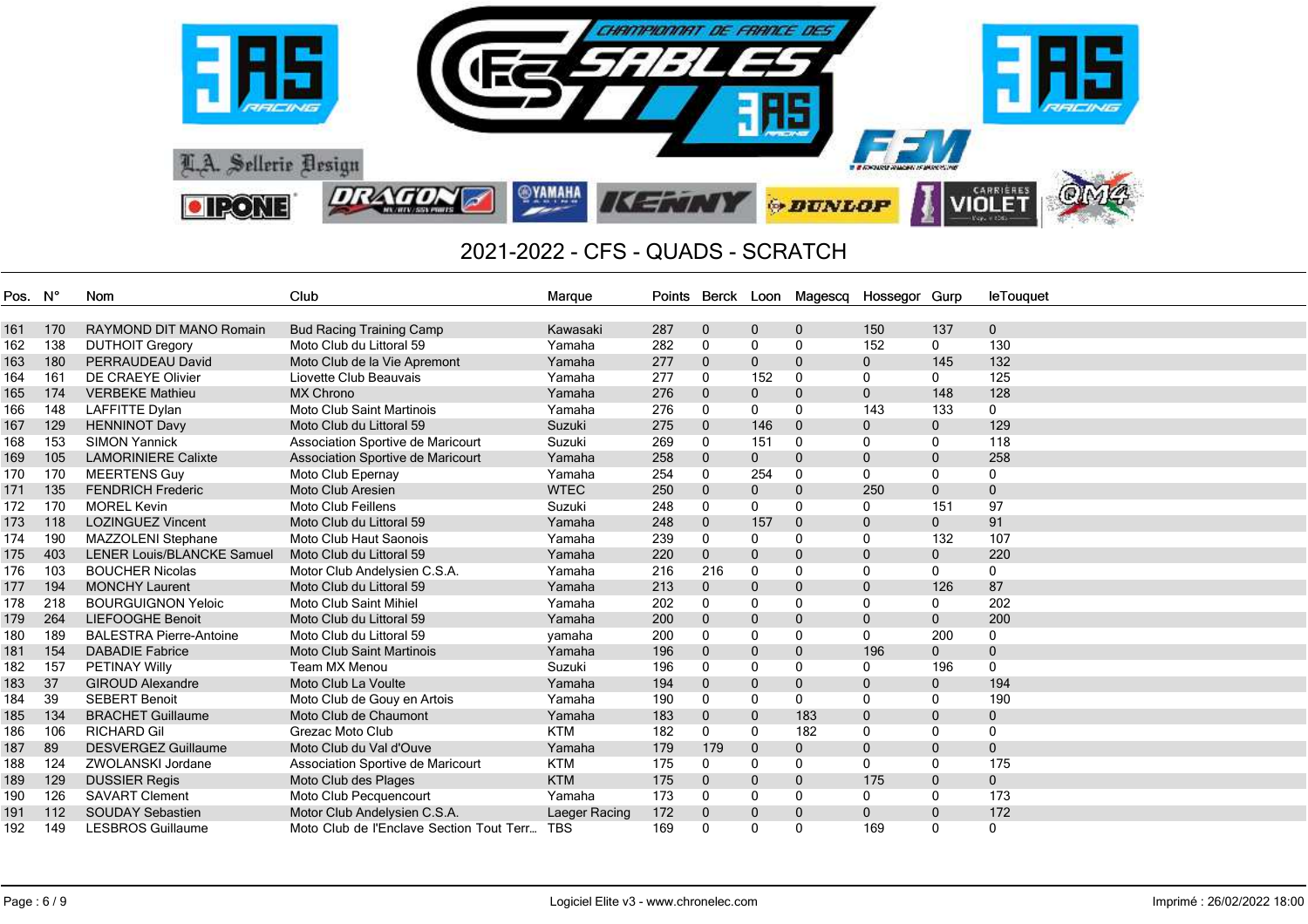

| Pos. N° |     | Nom                               | Club                                     | Marque        | Points | Berck        | Loon         | Magescq      | Hossegor Gurp |              | leTouquet    |
|---------|-----|-----------------------------------|------------------------------------------|---------------|--------|--------------|--------------|--------------|---------------|--------------|--------------|
|         |     |                                   |                                          |               |        |              |              |              |               |              |              |
| 161     | 170 | RAYMOND DIT MANO Romain           | <b>Bud Racing Training Camp</b>          | Kawasaki      | 287    | $\mathbf 0$  | $\mathbf 0$  | 0            | 150           | 137          | $\mathbf 0$  |
| 162     | 138 | <b>DUTHOIT Gregory</b>            | Moto Club du Littoral 59                 | Yamaha        | 282    | 0            | 0            | 0            | 152           | 0            | 130          |
| 163     | 180 | PERRAUDEAU David                  | Moto Club de la Vie Apremont             | Yamaha        | 277    | $\mathbf 0$  | $\mathbf 0$  | $\mathbf{0}$ | 0             | 145          | 132          |
| 164     | 161 | DE CRAEYE Olivier                 | Liovette Club Beauvais                   | Yamaha        | 277    | 0            | 152          | $\mathbf{0}$ | $\Omega$      | 0            | 125          |
| 165     | 174 | <b>VERBEKE Mathieu</b>            | <b>MX Chrono</b>                         | Yamaha        | 276    | $\mathbf 0$  | $\mathbf 0$  | $\mathbf{0}$ | $\mathbf{0}$  | 148          | 128          |
| 166     | 148 | <b>LAFFITTE Dylan</b>             | <b>Moto Club Saint Martinois</b>         | Yamaha        | 276    | $\mathbf{0}$ | $\mathbf{0}$ | $\mathbf{0}$ | 143           | 133          | $\mathbf{0}$ |
| 167     | 129 | <b>HENNINOT Davy</b>              | Moto Club du Littoral 59                 | Suzuki        | 275    | $\mathbf 0$  | 146          | $\Omega$     | $\mathbf{0}$  | 0            | 129          |
| 168     | 153 | <b>SIMON Yannick</b>              | Association Sportive de Maricourt        | Suzuki        | 269    | 0            | 151          | $\mathbf{0}$ | 0             | $\Omega$     | 118          |
| 169     | 105 | <b>LAMORINIERE Calixte</b>        | Association Sportive de Maricourt        | Yamaha        | 258    | $\mathbf 0$  | 0            | $\mathbf 0$  | 0             | 0            | 258          |
| 170     | 170 | <b>MEERTENS Guy</b>               | Moto Club Epernay                        | Yamaha        | 254    | 0            | 254          | $\mathbf{0}$ | 0             | $\mathbf{0}$ | 0            |
| 171     | 135 | <b>FENDRICH Frederic</b>          | Moto Club Aresien                        | <b>WTEC</b>   | 250    | $\mathbf 0$  | 0            | $\mathbf{0}$ | 250           | $\mathbf 0$  | $\mathbf{0}$ |
| 172     | 170 | <b>MOREL Kevin</b>                | Moto Club Feillens                       | Suzuki        | 248    | $\mathbf{0}$ | $\mathbf{0}$ | 0            | 0             | 151          | 97           |
| 173     | 118 | <b>LOZINGUEZ Vincent</b>          | Moto Club du Littoral 59                 | Yamaha        | 248    | $\mathbf 0$  | 157          | $\mathbf{0}$ | $\mathbf{0}$  | 0            | 91           |
| 174     | 190 | <b>MAZZOLENI Stephane</b>         | Moto Club Haut Saonois                   | Yamaha        | 239    | $\mathbf{0}$ | $\mathbf{0}$ | 0            | 0             | 132          | 107          |
| 175     | 403 | <b>LENER Louis/BLANCKE Samuel</b> | Moto Club du Littoral 59                 | Yamaha        | 220    | $\mathbf{0}$ | $\mathbf{0}$ | $\mathbf{0}$ | $\mathbf{0}$  | $\mathbf 0$  | 220          |
| 176     | 103 | <b>BOUCHER Nicolas</b>            | Motor Club Andelysien C.S.A.             | Yamaha        | 216    | 216          | 0            | 0            | 0             | 0            | 0            |
| 177     | 194 | <b>MONCHY Laurent</b>             | Moto Club du Littoral 59                 | Yamaha        | 213    | $\mathbf{0}$ | $\mathbf{0}$ | 0            | $\mathbf{0}$  | 126          | 87           |
| 178     | 218 | <b>BOURGUIGNON Yeloic</b>         | <b>Moto Club Saint Mihiel</b>            | Yamaha        | 202    | 0            | 0            | 0            | 0             | 0            | 202          |
| 179     | 264 | <b>LIEFOOGHE Benoit</b>           | Moto Club du Littoral 59                 | Yamaha        | 200    | $\mathbf{0}$ | 0            | 0            | 0             | 0            | 200          |
| 180     | 189 | <b>BALESTRA Pierre-Antoine</b>    | Moto Club du Littoral 59                 | vamaha        | 200    | $\mathbf 0$  | $\mathbf 0$  | 0            | 0             | 200          | 0            |
| 181     | 154 | <b>DABADIE Fabrice</b>            | <b>Moto Club Saint Martinois</b>         | Yamaha        | 196    | $\mathbf 0$  | 0            | 0            | 196           | 0            | $\mathbf 0$  |
| 182     | 157 | <b>PETINAY Willy</b>              | <b>Team MX Menou</b>                     | Suzuki        | 196    | 0            | 0            | 0            | 0             | 196          | 0            |
| 183     | 37  | <b>GIROUD Alexandre</b>           | Moto Club La Voulte                      | Yamaha        | 194    | $\mathbf{0}$ | $\mathbf 0$  | $\mathbf 0$  | $\mathbf{0}$  | $\mathbf{0}$ | 194          |
| 184     | 39  | <b>SEBERT Benoit</b>              | Moto Club de Gouy en Artois              | Yamaha        | 190    | $\Omega$     | $\Omega$     | 0            | 0             | 0            | 190          |
| 185     | 134 | <b>BRACHET Guillaume</b>          | Moto Club de Chaumont                    | Yamaha        | 183    | $\mathbf 0$  | $\mathbf 0$  | 183          | 0             | 0            | $\mathbf 0$  |
| 186     | 106 | <b>RICHARD Gil</b>                | Grezac Moto Club                         | <b>KTM</b>    | 182    | $\mathbf{0}$ | 0            | 182          | 0             | 0            | 0            |
| 187     | 89  | <b>DESVERGEZ Guillaume</b>        | Moto Club du Val d'Ouve                  | Yamaha        | 179    | 179          | 0            | $\mathbf 0$  | $\mathbf 0$   | 0            | $\mathbf{0}$ |
| 188     | 124 | <b>ZWOLANSKI Jordane</b>          | Association Sportive de Maricourt        | <b>KTM</b>    | 175    | $\mathbf{0}$ | 0            | $\mathbf{0}$ | 0             | $\mathbf{0}$ | 175          |
| 189     | 129 | <b>DUSSIER Regis</b>              | Moto Club des Plages                     | <b>KTM</b>    | 175    | $\mathbf 0$  | $\mathbf 0$  | $\mathbf{0}$ | 175           | $\mathbf{0}$ | $\mathbf{0}$ |
| 190     | 126 | <b>SAVART Clement</b>             | Moto Club Pecquencourt                   | Yamaha        | 173    | $\mathbf{0}$ | $\mathbf{0}$ | 0            | 0             | $\mathbf{0}$ | 173          |
| 191     | 112 | <b>SOUDAY Sebastien</b>           | Motor Club Andelysien C.S.A.             | Laeger Racing | 172    | $\theta$     | $\mathbf 0$  | $\mathbf{0}$ | 0             | 0            | 172          |
| 192     | 149 | <b>LESBROS Guillaume</b>          | Moto Club de l'Enclave Section Tout Terr | <b>TBS</b>    | 169    | $\Omega$     | 0            | 0            | 169           | 0            | 0            |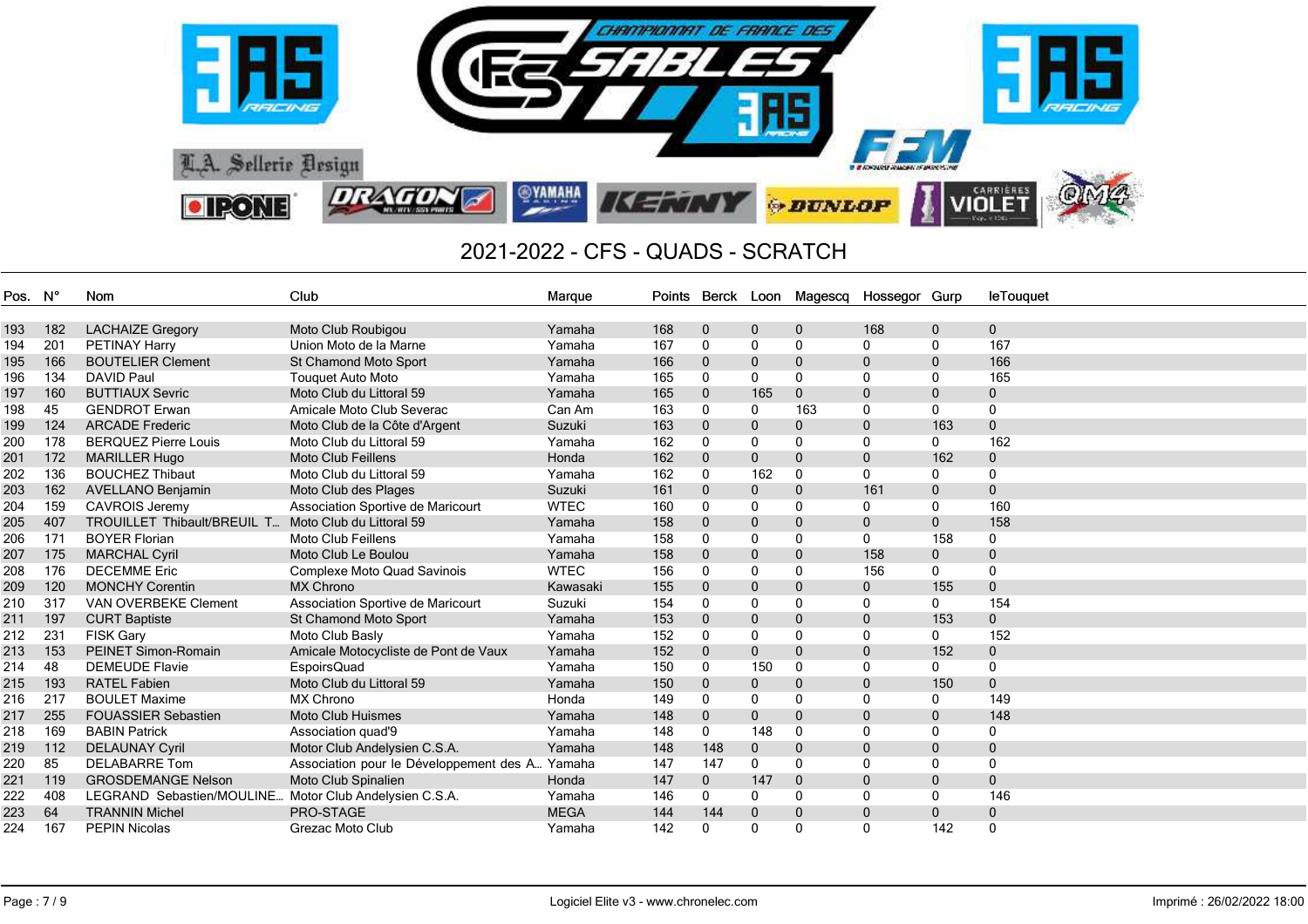

| Pos. N° |     | Nom                         | Club                                    | Marque      | Points | Berck        | Loon         | Magescq      | Hossegor Gurp  |              | leTouquet    |
|---------|-----|-----------------------------|-----------------------------------------|-------------|--------|--------------|--------------|--------------|----------------|--------------|--------------|
|         |     |                             |                                         |             |        |              |              |              |                |              |              |
| 193     | 182 | <b>LACHAIZE Gregory</b>     | Moto Club Roubigou                      | Yamaha      | 168    | $\mathbf 0$  | 0            | 0            | 168            | 0            | $\mathbf 0$  |
| 194     | 201 | PETINAY Harry               | Union Moto de la Marne                  | Yamaha      | 167    | 0            | 0            | 0            | 0              | $\Omega$     | 167          |
| 195     | 166 | <b>BOUTELIER Clement</b>    | <b>St Chamond Moto Sport</b>            | Yamaha      | 166    | $\mathbf 0$  | 0            | $\mathbf 0$  | 0              | 0            | 166          |
| 196     | 134 | <b>DAVID Paul</b>           | <b>Touguet Auto Moto</b>                | Yamaha      | 165    | 0            | 0            | 0            | 0              | 0            | 165          |
| 197     | 160 | <b>BUTTIAUX Sevric</b>      | Moto Club du Littoral 59                | Yamaha      | 165    | $\mathbf{0}$ | 165          | $\mathbf{0}$ | $\mathbf{0}$   | $\mathbf{0}$ | $\mathbf{0}$ |
| 198     | 45  | <b>GENDROT Erwan</b>        | Amicale Moto Club Severac               | Can Am      | 163    | $\Omega$     | $\mathbf{0}$ | 163          | $\mathbf{0}$   | $\mathbf{0}$ | $\mathbf{0}$ |
| 199     | 124 | <b>ARCADE Frederic</b>      | Moto Club de la Côte d'Argent           | Suzuki      | 163    | $\mathbf 0$  | $\mathbf 0$  | 0            | $\mathbf 0$    | 163          | $\mathbf 0$  |
| 200     | 178 | <b>BERQUEZ Pierre Louis</b> | Moto Club du Littoral 59                | Yamaha      | 162    | $\Omega$     | 0            | 0            | 0              | $\mathbf{0}$ | 162          |
| 201     | 172 | <b>MARILLER Hugo</b>        | <b>Moto Club Feillens</b>               | Honda       | 162    | $\mathbf 0$  | $\mathbf 0$  | $\mathbf{0}$ | $\Omega$       | 162          | $\mathbf 0$  |
| 202     | 136 | <b>BOUCHEZ Thibaut</b>      | Moto Club du Littoral 59                | Yamaha      | 162    | 0            | 162          | 0            | 0              | $\mathbf{0}$ | $\mathbf 0$  |
| 203     | 162 | <b>AVELLANO Benjamin</b>    | Moto Club des Plages                    | Suzuki      | 161    | $\mathbf{0}$ | $\mathbf{0}$ | 0            | 161            | $\mathbf{0}$ | $\mathbf 0$  |
| 204     | 159 | <b>CAVROIS Jeremy</b>       | Association Sportive de Maricourt       | <b>WTEC</b> | 160    | $\Omega$     | 0            | 0            | 0              | $\mathbf{0}$ | 160          |
| 205     | 407 | TROUILLET Thibault/BREUIL T | Moto Club du Littoral 59                | Yamaha      | 158    | $\mathbf{0}$ | $\mathbf 0$  | $\mathbf 0$  | $\mathbf{0}$   | 0            | 158          |
| 206     | 171 | <b>BOYER Florian</b>        | Moto Club Feillens                      | Yamaha      | 158    | 0            | 0            | 0            | $\mathbf 0$    | 158          | 0            |
| 207     | 175 | <b>MARCHAL Cyril</b>        | Moto Club Le Boulou                     | Yamaha      | 158    | $\mathbf 0$  | 0            | 0            | 158            | 0            | $\mathbf 0$  |
| 208     | 176 | <b>DECEMME</b> Eric         | <b>Complexe Moto Quad Savinois</b>      | <b>WTEC</b> | 156    | 0            | 0            | 0            | 156            | $\mathbf{0}$ | 0            |
| 209     | 120 | <b>MONCHY Corentin</b>      | <b>MX Chrono</b>                        | Kawasaki    | 155    | $\mathbf 0$  | $\mathbf 0$  | $\mathbf{0}$ | 0              | 155          | $\mathbf 0$  |
| 210     | 317 | VAN OVERBEKE Clement        | Association Sportive de Maricourt       | Suzuki      | 154    | $\Omega$     | $\mathbf 0$  | $\Omega$     | $\Omega$       | $\mathbf{0}$ | 154          |
| 211     | 197 | <b>CURT Baptiste</b>        | St Chamond Moto Sport                   | Yamaha      | 153    | $\mathbf 0$  | $\mathbf{0}$ | $\mathbf{0}$ | $\Omega$       | 153          | $\mathbf{0}$ |
| 212     | 231 | <b>FISK Gary</b>            | Moto Club Basly                         | Yamaha      | 152    | $\Omega$     | 0            | 0            | $\Omega$       | 0            | 152          |
| 213     | 153 | PEINET Simon-Romain         | Amicale Motocycliste de Pont de Vaux    | Yamaha      | 152    | $\mathbf 0$  | 0            | $\mathbf{0}$ | 0              | 152          | $\mathbf 0$  |
| 214     | 48  | <b>DEMEUDE Flavie</b>       | <b>EspoirsQuad</b>                      | Yamaha      | 150    | 0            | 150          | 0            | $\Omega$       | $\mathbf{0}$ | $\mathbf{0}$ |
| 215     | 193 | <b>RATEL Fabien</b>         | Moto Club du Littoral 59                | Yamaha      | 150    | $\mathbf 0$  | $\mathbf 0$  | $\mathbf{0}$ | $\mathbf{0}$   | 150          | $\mathbf 0$  |
| 216     | 217 | <b>BOULET Maxime</b>        | <b>MX Chrono</b>                        | Honda       | 149    | 0            | 0            | 0            | $\Omega$       | $\mathbf{0}$ | 149          |
| 217     | 255 | <b>FOUASSIER Sebastien</b>  | <b>Moto Club Huismes</b>                | Yamaha      | 148    | $\mathbf 0$  | $\mathbf 0$  | $\mathbf{0}$ | $\Omega$       | $\mathbf 0$  | 148          |
| 218     | 169 | <b>BABIN Patrick</b>        | Association quad'9                      | Yamaha      | 148    | $\Omega$     | 148          | 0            | $\Omega$       | $\Omega$     | $\Omega$     |
| 219     | 112 | <b>DELAUNAY Cyril</b>       | Motor Club Andelysien C.S.A.            | Yamaha      | 148    | 148          | 0            | $\mathbf{0}$ | $\overline{0}$ | 0            | $\mathbf{0}$ |
| 220     | 85  | <b>DELABARRE Tom</b>        | Association pour le Développement des A | Yamaha      | 147    | 147          | 0            | 0            | 0              | 0            | 0            |
| 221     | 119 | <b>GROSDEMANGE Nelson</b>   | Moto Club Spinalien                     | Honda       | 147    | $\mathbf 0$  | 147          | $\mathbf 0$  | 0              | 0            | $\mathbf 0$  |
| 222     | 408 | LEGRAND Sebastien/MOULINE   | Motor Club Andelysien C.S.A.            | Yamaha      | 146    | 0            | 0            | 0            | 0              | 0            | 146          |
| 223     | 64  | <b>TRANNIN Michel</b>       | PRO-STAGE                               | <b>MEGA</b> | 144    | 144          | $\mathbf{0}$ | $\mathbf{0}$ | 0              | 0            | $\mathbf 0$  |
| 224     | 167 | <b>PEPIN Nicolas</b>        | Grezac Moto Club                        | Yamaha      | 142    | $\Omega$     | 0            | 0            | $\Omega$       | 142          | $\mathbf{0}$ |
|         |     |                             |                                         |             |        |              |              |              |                |              |              |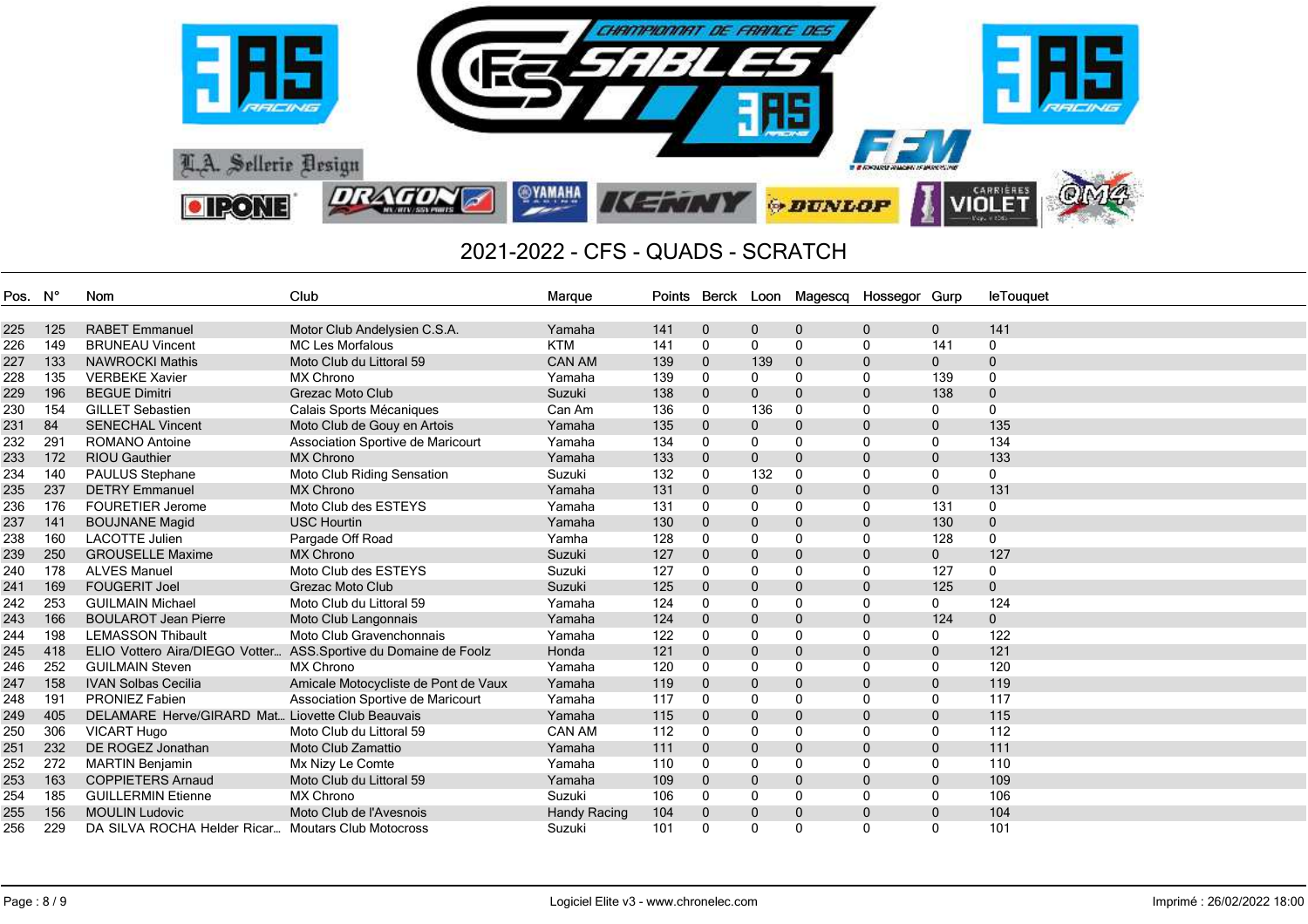

| Pos. | – N° | Nom                                              | Club                                 | Marque        | Points | Berck        | Loon         | Magescq      | Hossegor     | Gurp         | leTouquet    |
|------|------|--------------------------------------------------|--------------------------------------|---------------|--------|--------------|--------------|--------------|--------------|--------------|--------------|
|      |      |                                                  |                                      |               |        |              |              |              |              |              |              |
| 225  | 125  | <b>RABET</b> Emmanuel                            | Motor Club Andelysien C.S.A.         | Yamaha        | 141    | $\mathbf 0$  | $\mathbf 0$  | 0            | $\Omega$     | $\mathbf{0}$ | 141          |
| 226  | 149  | <b>BRUNEAU Vincent</b>                           | <b>MC Les Morfalous</b>              | <b>KTM</b>    | 141    | 0            | 0            | 0            |              | 141          | 0            |
| 227  | 133  | <b>NAWROCKI Mathis</b>                           | Moto Club du Littoral 59             | <b>CAN AM</b> | 139    | $\mathbf{0}$ | 139          | $\mathbf 0$  | $\mathbf 0$  | $\mathbf{0}$ | $\mathbf{0}$ |
| 228  | 135  | <b>VERBEKE Xavier</b>                            | MX Chrono                            | Yamaha        | 139    | 0            | 0            | $\Omega$     | 0            | 139          | $\Omega$     |
| 229  | 196  | <b>BEGUE Dimitri</b>                             | Grezac Moto Club                     | Suzuki        | 138    | $\mathbf 0$  | $\mathbf{0}$ | $\mathbf{0}$ | $\mathbf{0}$ | 138          | $\mathbf{0}$ |
| 230  | 154  | <b>GILLET Sebastien</b>                          | Calais Sports Mécaniques             | Can Am        | 136    | 0            | 136          | 0            | $\Omega$     | 0            | $\mathbf 0$  |
| 231  | 84   | <b>SENECHAL Vincent</b>                          | Moto Club de Gouy en Artois          | Yamaha        | 135    | $\mathbf 0$  | $\mathbf 0$  | $\mathbf{0}$ | $\Omega$     | $\mathbf{0}$ | 135          |
| 232  | 291  | <b>ROMANO Antoine</b>                            | Association Sportive de Maricourt    | Yamaha        | 134    | 0            | 0            | 0            |              | $\Omega$     | 134          |
| 233  | 172  | <b>RIOU Gauthier</b>                             | <b>MX Chrono</b>                     | Yamaha        | 133    | $\mathbf 0$  | $\mathbf 0$  | 0            | $\mathbf 0$  | $\mathbf 0$  | 133          |
| 234  | 140  | PAULUS Stephane                                  | Moto Club Riding Sensation           | Suzuki        | 132    | 0            | 132          | $\mathbf{0}$ | $\Omega$     | $\mathbf{0}$ | $\mathbf 0$  |
| 235  | 237  | <b>DETRY Emmanuel</b>                            | <b>MX Chrono</b>                     | Yamaha        | 131    | $\mathbf 0$  | $\mathbf 0$  | 0            | $\mathbf{0}$ | $\mathbf{0}$ | 131          |
| 236  | 176  | <b>FOURETIER Jerome</b>                          | Moto Club des ESTEYS                 | Yamaha        | 131    | $\Omega$     | 0            | 0            | $\Omega$     | 131          | 0            |
| 237  | 141  | <b>BOUJNANE Magid</b>                            | <b>USC Hourtin</b>                   | Yamaha        | 130    | $\mathbf{0}$ | $\mathbf 0$  | $\mathbf{0}$ |              | 130          | $\mathbf 0$  |
| 238  | 160  | <b>LACOTTE Julien</b>                            | Pargade Off Road                     | Yamha         | 128    | 0            | $\mathbf{0}$ | 0            |              | 128          | $\mathbf{0}$ |
| 239  | 250  | <b>GROUSELLE Maxime</b>                          | <b>MX Chrono</b>                     | Suzuki        | 127    | $\mathbf 0$  | $\mathbf 0$  | 0            | $\mathbf{0}$ | $\mathbf 0$  | 127          |
| 240  | 178  | <b>ALVES Manuel</b>                              | Moto Club des ESTEYS                 | Suzuki        | 127    | $\mathbf{0}$ | $\mathbf{0}$ | 0            | $\mathbf{0}$ | 127          | $\mathbf{0}$ |
| 241  | 169  | <b>FOUGERIT Joel</b>                             | Grezac Moto Club                     | Suzuki        | 125    | $\Omega$     | $\mathbf{0}$ | $\mathbf{0}$ | $\Omega$     | 125          | $\mathbf{0}$ |
| 242  | 253  | <b>GUILMAIN Michael</b>                          | Moto Club du Littoral 59             | Yamaha        | 124    | 0            | $\mathbf{0}$ | 0            | $\Omega$     | $\Omega$     | 124          |
| 243  | 166  | <b>BOULAROT Jean Pierre</b>                      | Moto Club Langonnais                 | Yamaha        | 124    | $\mathbf{0}$ | $\mathbf 0$  | $\mathbf{0}$ |              | 124          | $\mathbf{0}$ |
| 244  | 198  | <b>LEMASSON Thibault</b>                         | Moto Club Gravenchonnais             | Yamaha        | 122    | 0            | $\mathbf 0$  | 0            |              | $\mathbf{0}$ | 122          |
| 245  | 418  | ELIO Vottero Aira/DIEGO Votter                   | ASS.Sportive du Domaine de Foolz     | Honda         | 121    | $\mathbf{0}$ | $\mathbf 0$  | 0            | $\mathbf{0}$ | $\mathbf{0}$ | 121          |
| 246  | 252  | <b>GUILMAIN Steven</b>                           | <b>MX Chrono</b>                     | Yamaha        | 120    | 0            | 0            | 0            | $\Omega$     | $\mathbf{0}$ | 120          |
| 247  | 158  | <b>IVAN Solbas Cecilia</b>                       | Amicale Motocycliste de Pont de Vaux | Yamaha        | 119    | $\mathbf{0}$ | $\mathbf{0}$ | 0            | $\mathbf{0}$ | $\mathbf{0}$ | 119          |
| 248  | 191  | <b>PRONIEZ Fabien</b>                            | Association Sportive de Maricourt    | Yamaha        | 117    | $\Omega$     | 0            | 0            | $\Omega$     | 0            | 117          |
| 249  | 405  | DELAMARE Herve/GIRARD Mat Liovette Club Beauvais |                                      | Yamaha        | 115    | $\mathbf{0}$ | $\mathbf 0$  | 0            |              | $\mathbf{0}$ | 115          |
| 250  | 306  | <b>VICART Hugo</b>                               | Moto Club du Littoral 59             | CAN AM        | 112    | 0            | 0            | 0            | $\Omega$     | 0            | 112          |
| 251  | 232  | DE ROGEZ Jonathan                                | Moto Club Zamattio                   | Yamaha        | 111    | $\mathbf 0$  | $\mathbf 0$  | 0            | $\Omega$     | $\mathbf{0}$ | 111          |
| 252  | 272  | <b>MARTIN Benjamin</b>                           | Mx Nizy Le Comte                     | Yamaha        | 110    | 0            | $\mathbf 0$  | $\Omega$     | 0            | $\mathbf{0}$ | 110          |
| 253  | 163  | <b>COPPIETERS Arnaud</b>                         | Moto Club du Littoral 59             | Yamaha        | 109    | $\mathbf{0}$ | $\mathbf 0$  | $\mathbf{0}$ | $\Omega$     | $\mathbf{0}$ | 109          |
| 254  | 185  | <b>GUILLERMIN Etienne</b>                        | <b>MX Chrono</b>                     | Suzuki        | 106    | 0            | $\Omega$     | 0            | $\Omega$     | 0            | 106          |
| 255  | 156  | <b>MOULIN Ludovic</b>                            | Moto Club de l'Avesnois              | Handy Racing  | 104    | $\mathbf{0}$ | $\mathbf 0$  | 0            |              | $\Omega$     | 104          |
| 256  | 229  | DA SILVA ROCHA Helder Ricar                      | <b>Moutars Club Motocross</b>        | Suzuki        | 101    | $\Omega$     | $\Omega$     | 0            |              |              | 101          |